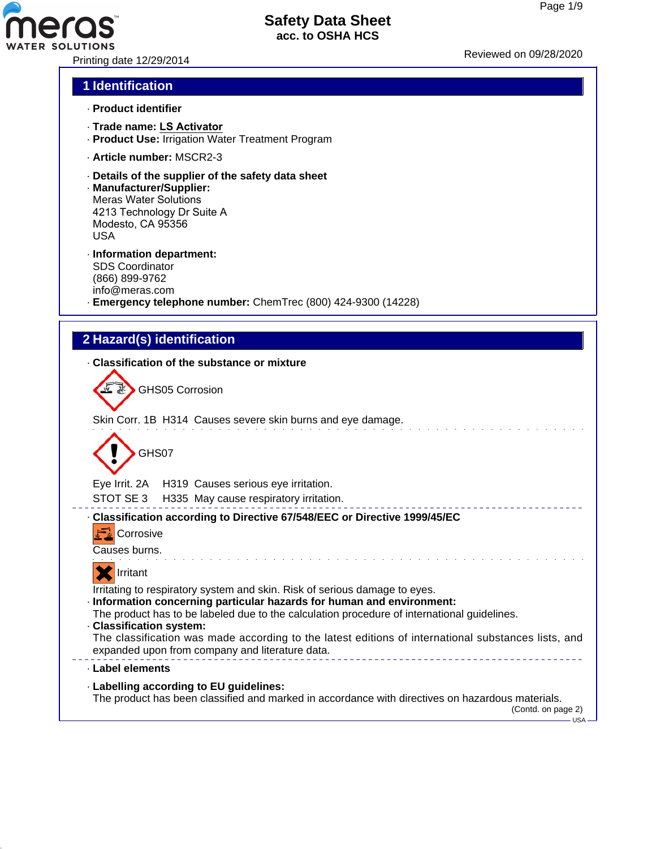

Printing date 12/29/2014 Reviewed on 09/28/20<sup>20</sup>

## **1 Identification**

- · **Product identifier**
- · **Trade name: LS Activator**
- · **Product Use:** Irrigation Water Treatment Program
- · **Article number:** MSCR2-3
- · **Details of the supplier of the safety data sheet**
- · **Manufacturer/Supplier:** Meras Water Solutions 4213 Technology Dr Suite A Modesto, CA 95356 USA
- · **Information department:** SDS Coordinator (866) 899-9762 info@meras.com
- · **Emergency telephone number:** ChemTrec (800) 424-9300 (14228)

# **2 Hazard(s) identification**

#### · **Classification of the substance or mixture**

Skin Corr. 1B H314 Causes severe skin burns and eye damage.



Eye Irrit. 2A H319 Causes serious eye irritation.

STOT SE 3 H335 May cause respiratory irritation.

#### --------------------------· **Classification according to Directive 67/548/EEC or Directive 1999/45/EC**

| Corrosive |
|-----------|

Causes burns.



Irritating to respiratory system and skin. Risk of serious damage to eyes.

- · **Information concerning particular hazards for human and environment:**
- The product has to be labeled due to the calculation procedure of international guidelines.
- · **Classification system:**

The classification was made according to the latest editions of international substances lists, and expanded upon from company and literature data. \_\_\_\_\_\_\_\_\_\_\_\_\_\_\_\_\_\_\_\_\_\_\_\_\_\_\_\_\_\_\_\_

#### · **Label elements**

· **Labelling according to EU guidelines:**

The product has been classified and marked in accordance with directives on hazardous materials.

(Contd. on page 2)  $-$ USA -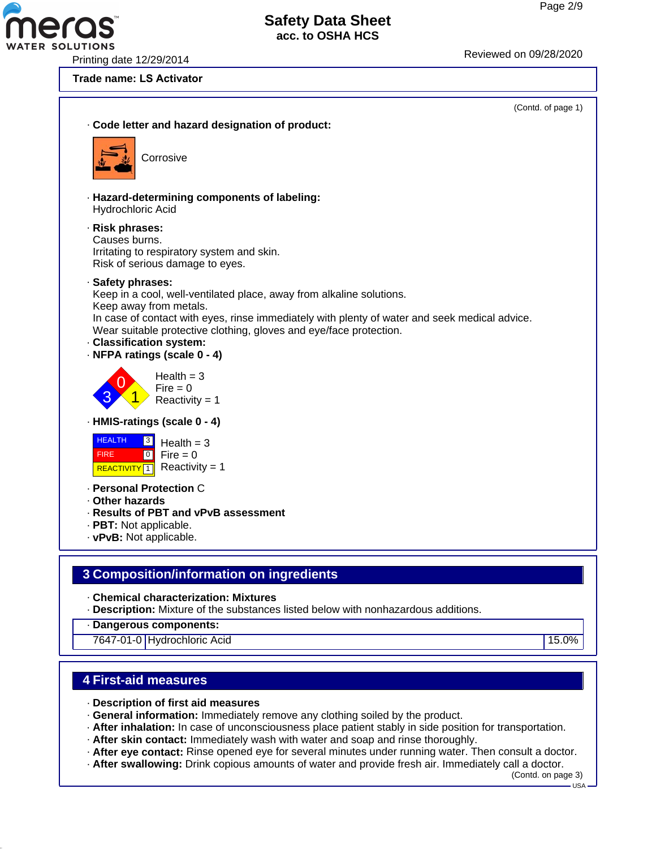Printing date 12/29/2014 Reviewed on 09/28/20<sup>20</sup>

**R SOLUTIONS** 

#### **Trade name: LS Activator**



#### **4 First-aid measures**

- · **Description of first aid measures**
- · **General information:** Immediately remove any clothing soiled by the product.
- · **After inhalation:** In case of unconsciousness place patient stably in side position for transportation.
- · **After skin contact:** Immediately wash with water and soap and rinse thoroughly.
- · **After eye contact:** Rinse opened eye for several minutes under running water. Then consult a doctor.
- · **After swallowing:** Drink copious amounts of water and provide fresh air. Immediately call a doctor.

(Contd. on page 3)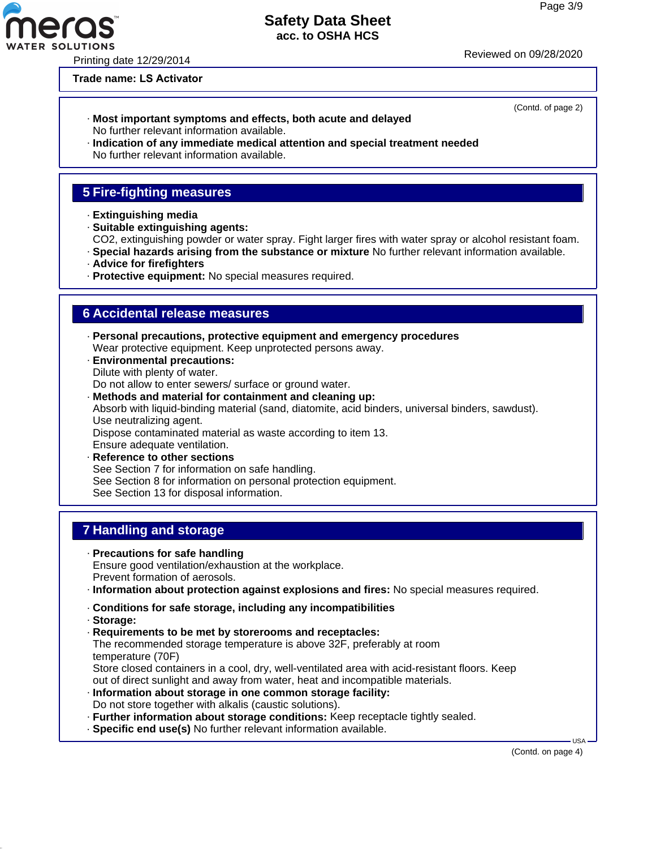# **Safety Data Sheet**

**acc. to OSHA HCS**

Printing date 12/29/2014 Reviewed on 09/28/20<sup>20</sup>

#### **Trade name: LS Activator**

- · **Most important symptoms and effects, both acute and delayed** No further relevant information available.
- · **Indication of any immediate medical attention and special treatment needed** No further relevant information available.

# **5 Fire-fighting measures**

- · **Extinguishing media**
- · **Suitable extinguishing agents:**
- CO2, extinguishing powder or water spray. Fight larger fires with water spray or alcohol resistant foam.
- · **Special hazards arising from the substance or mixture** No further relevant information available.
- · **Advice for firefighters**
- · **Protective equipment:** No special measures required.

#### **6 Accidental release measures**

- · **Personal precautions, protective equipment and emergency procedures** Wear protective equipment. Keep unprotected persons away.
- · **Environmental precautions:** Dilute with plenty of water. Do not allow to enter sewers/ surface or ground water.
- · **Methods and material for containment and cleaning up:** Absorb with liquid-binding material (sand, diatomite, acid binders, universal binders, sawdust). Use neutralizing agent. Dispose contaminated material as waste according to item 13. Ensure adequate ventilation. · **Reference to other sections**
- See Section 7 for information on safe handling. See Section 8 for information on personal protection equipment. See Section 13 for disposal information.

# **7 Handling and storage**

- · **Precautions for safe handling** Ensure good ventilation/exhaustion at the workplace. Prevent formation of aerosols.
- · **Information about protection against explosions and fires:** No special measures required.
- · **Conditions for safe storage, including any incompatibilities**
- · **Storage:**
- · **Requirements to be met by storerooms and receptacles:** The recommended storage temperature is above 32F, preferably at room temperature (70F)

Store closed containers in a cool, dry, well-ventilated area with acid-resistant floors. Keep out of direct sunlight and away from water, heat and incompatible materials.

- · **Information about storage in one common storage facility:** Do not store together with alkalis (caustic solutions).
- · **Further information about storage conditions:** Keep receptacle tightly sealed.
- · **Specific end use(s)** No further relevant information available.

(Contd. on page 4)

USA



(Contd. of page 2)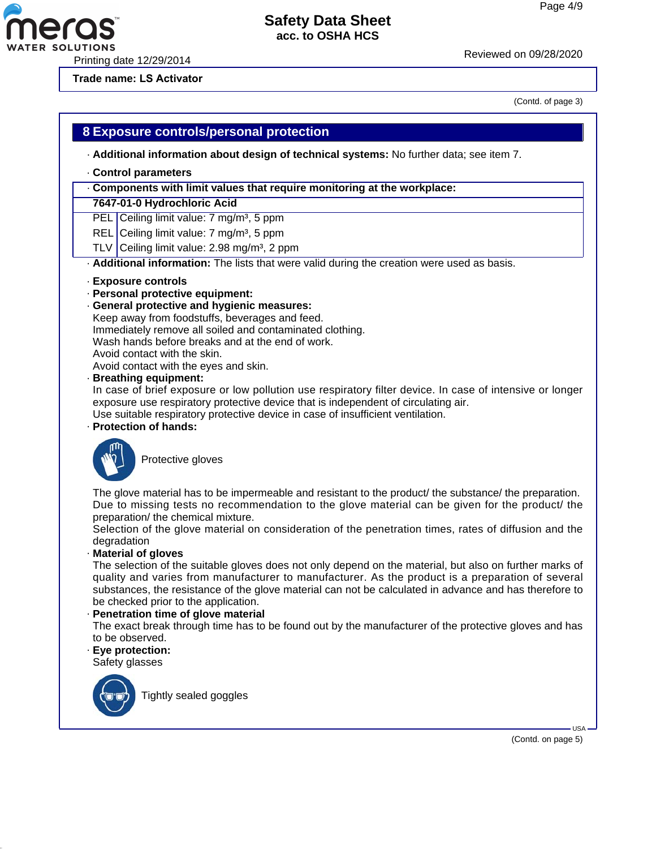Printing date 12/29/2014 Reviewed on 09/28/20<sup>20</sup>

**Trade name: LS Activator**

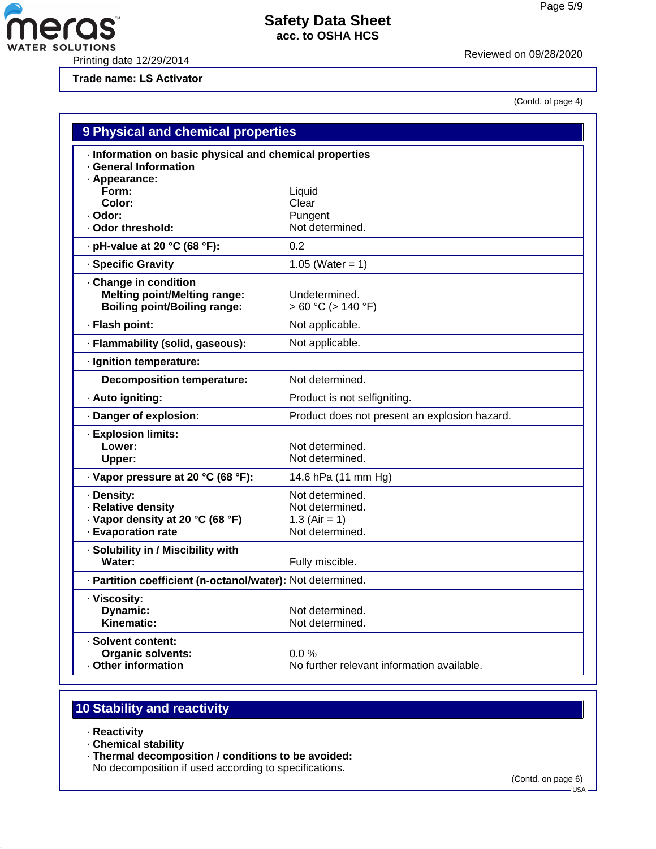Printing date 12/29/2014 Reviewed on 09/28/20<sup>20</sup>

**Pras** 

**Trade name: LS Activator**

(Contd. of page 4)

| <b>9 Physical and chemical properties</b>                                                         |                                               |  |
|---------------------------------------------------------------------------------------------------|-----------------------------------------------|--|
| · Information on basic physical and chemical properties<br><b>General Information</b>             |                                               |  |
| · Appearance:                                                                                     |                                               |  |
| Form:<br>Color:                                                                                   | Liquid<br>Clear                               |  |
| · Odor:                                                                                           | Pungent                                       |  |
| Odor threshold:                                                                                   | Not determined.                               |  |
| . pH-value at 20 °C (68 °F):                                                                      | 0.2                                           |  |
| · Specific Gravity                                                                                | 1.05 (Water = 1)                              |  |
| Change in condition<br><b>Melting point/Melting range:</b><br><b>Boiling point/Boiling range:</b> | Undetermined.<br>$> 60 °C$ ( $> 140 °F$ )     |  |
| · Flash point:                                                                                    | Not applicable.                               |  |
| · Flammability (solid, gaseous):                                                                  | Not applicable.                               |  |
| · Ignition temperature:                                                                           |                                               |  |
| <b>Decomposition temperature:</b>                                                                 | Not determined.                               |  |
| · Auto igniting:                                                                                  | Product is not selfigniting.                  |  |
| Danger of explosion:                                                                              | Product does not present an explosion hazard. |  |
| · Explosion limits:                                                                               |                                               |  |
| Lower:                                                                                            | Not determined.                               |  |
| Upper:                                                                                            | Not determined.                               |  |
| · Vapor pressure at 20 °C (68 °F):                                                                | 14.6 hPa (11 mm Hg)                           |  |
| · Density:                                                                                        | Not determined.                               |  |
| · Relative density                                                                                | Not determined.                               |  |
| · Vapor density at 20 °C (68 °F)                                                                  | 1.3 (Air = 1)                                 |  |
| - Evaporation rate                                                                                | Not determined.                               |  |
| · Solubility in / Miscibility with                                                                |                                               |  |
| Water:                                                                                            | Fully miscible.                               |  |
| · Partition coefficient (n-octanol/water): Not determined.                                        |                                               |  |
| · Viscosity:                                                                                      |                                               |  |
| Dynamic:                                                                                          | Not determined.                               |  |
| Kinematic:                                                                                        | Not determined.                               |  |
| · Solvent content:                                                                                |                                               |  |
| <b>Organic solvents:</b>                                                                          | $0.0\%$                                       |  |
| Other information                                                                                 | No further relevant information available.    |  |

# **10 Stability and reactivity**

- · **Reactivity**
- · **Chemical stability**
- · **Thermal decomposition / conditions to be avoided:**

No decomposition if used according to specifications.

(Contd. on page 6)

 $-$  USA  $\cdot$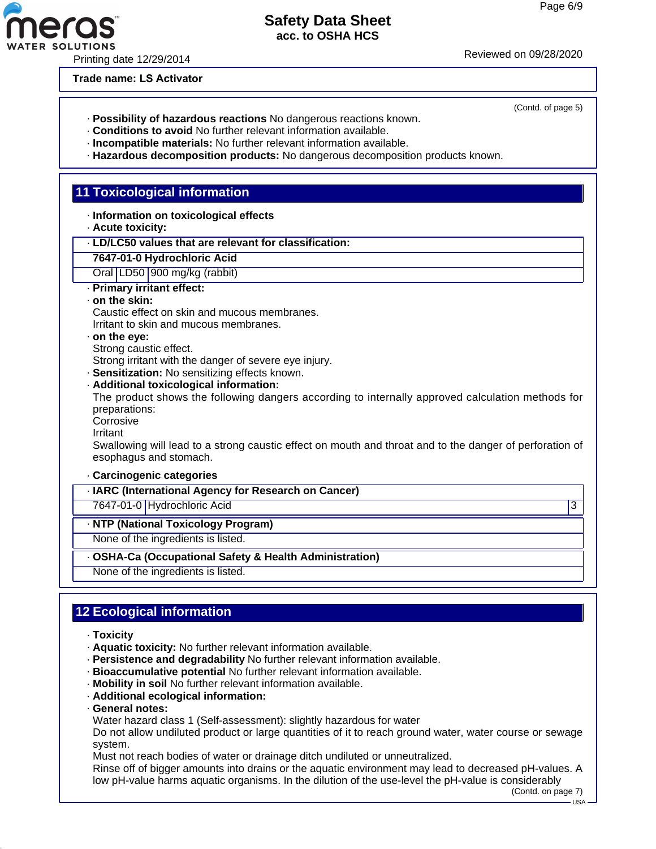Printing date 12/29/2014 Reviewed on 09/28/20<sup>20</sup>

**Trade name: LS Activator**

- · **Possibility of hazardous reactions** No dangerous reactions known.
- · **Conditions to avoid** No further relevant information available.
- · **Incompatible materials:** No further relevant information available.
- · **Hazardous decomposition products:** No dangerous decomposition products known.

# **11 Toxicological information**

- · **Information on toxicological effects**
- · **Acute toxicity:**
- · **LD/LC50 values that are relevant for classification:**
- **7647-01-0 Hydrochloric Acid**
- Oral LD50 900 mg/kg (rabbit)
- · **Primary irritant effect:**
- · **on the skin:**

Caustic effect on skin and mucous membranes. Irritant to skin and mucous membranes.

#### · **on the eye:**

Strong caustic effect.

Strong irritant with the danger of severe eye injury.

· **Sensitization:** No sensitizing effects known.

· **Additional toxicological information:**

The product shows the following dangers according to internally approved calculation methods for preparations:

Corrosive

Irritant

Swallowing will lead to a strong caustic effect on mouth and throat and to the danger of perforation of esophagus and stomach.

#### · **Carcinogenic categories**

· **IARC (International Agency for Research on Cancer)**

7647-01-0 Hydrochloric Acid 3

· **NTP (National Toxicology Program)**

None of the ingredients is listed.

· **OSHA-Ca (Occupational Safety & Health Administration)**

None of the ingredients is listed.

# **12 Ecological information**

- · **Toxicity**
- · **Aquatic toxicity:** No further relevant information available.
- · **Persistence and degradability** No further relevant information available.
- · **Bioaccumulative potential** No further relevant information available.
- · **Mobility in soil** No further relevant information available.
- · **Additional ecological information:**
- · **General notes:**

Water hazard class 1 (Self-assessment): slightly hazardous for water

Do not allow undiluted product or large quantities of it to reach ground water, water course or sewage system.

Must not reach bodies of water or drainage ditch undiluted or unneutralized.

Rinse off of bigger amounts into drains or the aquatic environment may lead to decreased pH-values. A low pH-value harms aquatic organisms. In the dilution of the use-level the pH-value is considerably

(Contd. on page 7) USA

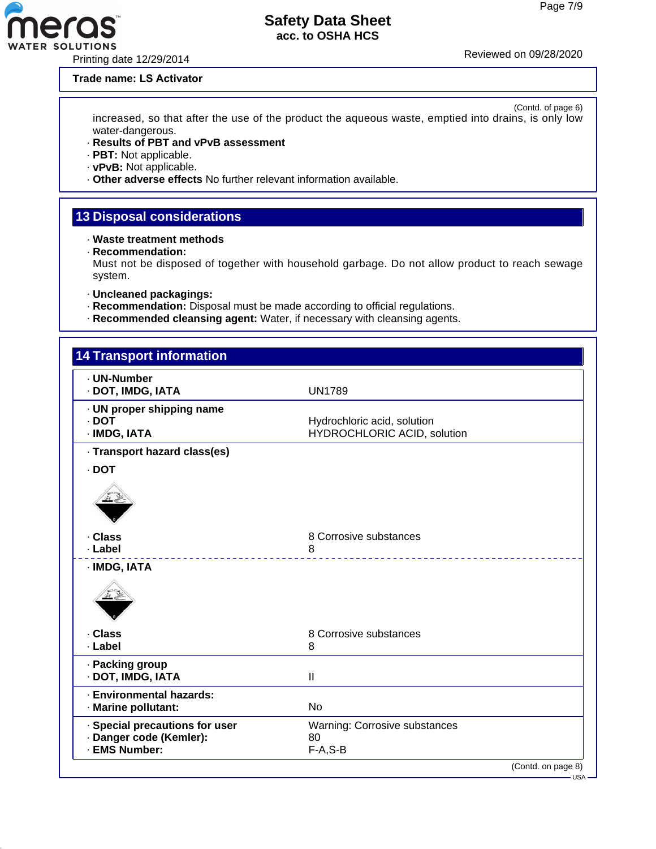#### **Trade name: LS Activator**

(Contd. of page 6) increased, so that after the use of the product the aqueous waste, emptied into drains, is only low water-dangerous.

- · **Results of PBT and vPvB assessment**
- · **PBT:** Not applicable.
- · **vPvB:** Not applicable.
- · **Other adverse effects** No further relevant information available.

# **13 Disposal considerations**

- · **Waste treatment methods**
- · **Recommendation:**

Must not be disposed of together with household garbage. Do not allow product to reach sewage system.

- · **Uncleaned packagings:**
- · **Recommendation:** Disposal must be made according to official regulations.
- · **Recommended cleansing agent:** Water, if necessary with cleansing agents.

| · UN-Number<br>· DOT, IMDG, IATA                                           | <b>UN1789</b>                                              |  |
|----------------------------------------------------------------------------|------------------------------------------------------------|--|
| · UN proper shipping name<br>$.$ DOT<br>· IMDG, IATA                       | Hydrochloric acid, solution<br>HYDROCHLORIC ACID, solution |  |
| · Transport hazard class(es)                                               |                                                            |  |
| · DOT                                                                      |                                                            |  |
|                                                                            |                                                            |  |
| · Class                                                                    | 8 Corrosive substances                                     |  |
| · Label                                                                    | 8                                                          |  |
| · IMDG, IATA                                                               |                                                            |  |
| · Class<br>· Label                                                         | 8 Corrosive substances<br>8                                |  |
| · Packing group<br>· DOT, IMDG, IATA                                       | $\mathbf{I}$                                               |  |
| · Environmental hazards:<br>· Marine pollutant:                            | <b>No</b>                                                  |  |
| · Special precautions for user<br>· Danger code (Kemler):<br>· EMS Number: | Warning: Corrosive substances<br>80<br>$F-A, S-B$          |  |

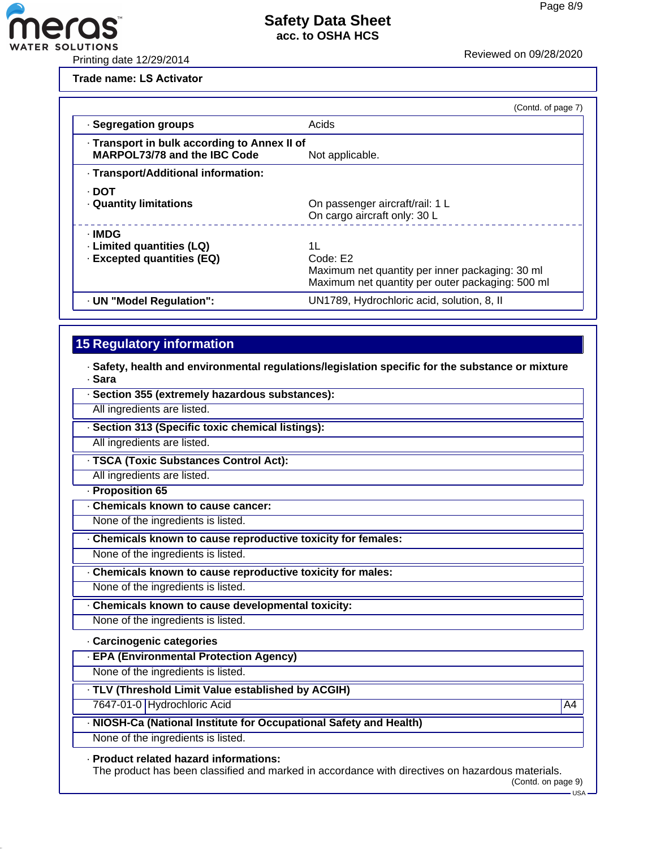WATER SOLUTIONS<br>Printing date 12/29/2014 Printing date 12/29/2014

eras

**Trade name: LS Activator**

|                                                                                     | (Contd. of page 7)                                                                                                    |
|-------------------------------------------------------------------------------------|-----------------------------------------------------------------------------------------------------------------------|
| · Segregation groups                                                                | Acids                                                                                                                 |
| · Transport in bulk according to Annex II of<br><b>MARPOL73/78 and the IBC Code</b> | Not applicable.                                                                                                       |
| · Transport/Additional information:                                                 |                                                                                                                       |
| - DOT<br><b>Quantity limitations</b>                                                | On passenger aircraft/rail: 1 L<br>On cargo aircraft only: 30 L                                                       |
| · IMDG<br>· Limited quantities (LQ)<br>· Excepted quantities (EQ)                   | 11<br>Code: E2<br>Maximum net quantity per inner packaging: 30 ml<br>Maximum net quantity per outer packaging: 500 ml |
| · UN "Model Regulation":                                                            | UN1789, Hydrochloric acid, solution, 8, II                                                                            |

# **15 Regulatory information**

· **Safety, health and environmental regulations/legislation specific for the substance or mixture** · **Sara**

| · Section 355 (extremely hazardous substances):                    |    |
|--------------------------------------------------------------------|----|
| All ingredients are listed.                                        |    |
| · Section 313 (Specific toxic chemical listings):                  |    |
| All ingredients are listed.                                        |    |
| · TSCA (Toxic Substances Control Act):                             |    |
| All ingredients are listed.                                        |    |
| · Proposition 65                                                   |    |
| Chemicals known to cause cancer:                                   |    |
| None of the ingredients is listed.                                 |    |
| Chemicals known to cause reproductive toxicity for females:        |    |
| None of the ingredients is listed.                                 |    |
| Chemicals known to cause reproductive toxicity for males:          |    |
| None of the ingredients is listed.                                 |    |
| Chemicals known to cause developmental toxicity:                   |    |
| None of the ingredients is listed.                                 |    |
| · Carcinogenic categories                                          |    |
| · EPA (Environmental Protection Agency)                            |    |
| None of the ingredients is listed.                                 |    |
| TLV (Threshold Limit Value established by ACGIH)                   |    |
| 7647-01-0 Hydrochloric Acid                                        | A4 |
| · NIOSH-Ca (National Institute for Occupational Safety and Health) |    |
| None of the ingredients is listed.                                 |    |

#### · **Product related hazard informations:**

The product has been classified and marked in accordance with directives on hazardous materials.

<sup>(</sup>Contd. on page 9)  $-$  USA –